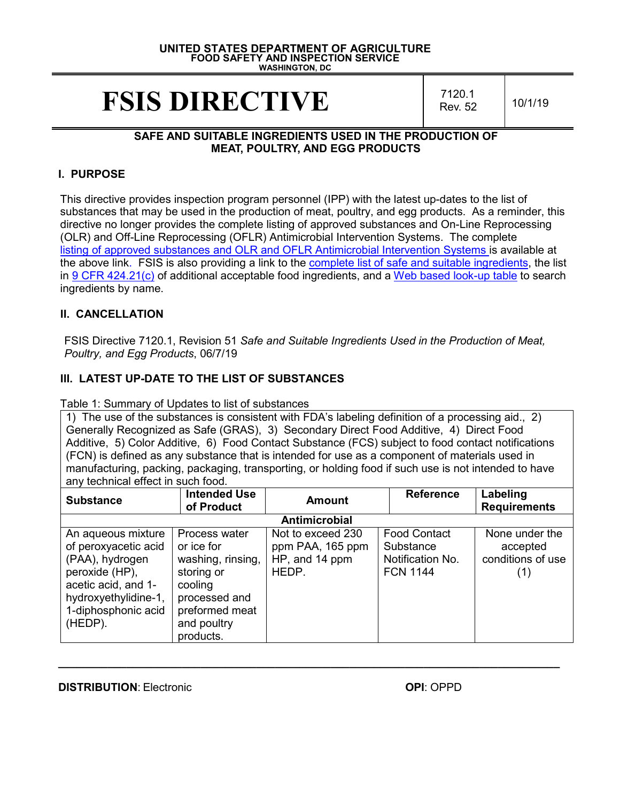#### **UNITED STATES DEPARTMENT OF AGRICULTURE FOOD SAFETY AND INSPECTION SERVICE WASHINGTON, DC**

# **FSIS DIRECTIVE**  $\frac{7120.1}{\text{Rev. 52}}$

Rev. 52 10/1/19

#### **SAFE AND SUITABLE INGREDIENTS USED IN THE PRODUCTION OF MEAT, POULTRY, AND EGG PRODUCTS**

#### **I. PURPOSE**

This directive provides inspection program personnel (IPP) with the latest up-dates to the list of substances that may be used in the production of meat, poultry, and egg products. As a reminder, this directive no longer provides the complete listing of approved substances and On-Line Reprocessing (OLR) and Off-Line Reprocessing (OFLR) Antimicrobial Intervention Systems. The complete [listing of approved substances and OLR and OFLR Antimicrobial Intervention Systems is](https://www.fsis.usda.gov/wps/wcm/connect/4788a166-513f-432c-9e00-f3bcec646558/OLR-OFLR-Tables.pdf?MOD=AJPERES) available at the above link. FSIS is also providing a link to the [complete list of safe and suitable ingredients,](https://www.fsis.usda.gov/wps/wcm/connect/ce40e7ae-3d55-419e-9c68-a1b6fefcd4de/7120.1_Table_2.pdf?MOD=AJPERES) the list in [9 CFR 424.21\(c\)](https://www.govinfo.gov/content/pkg/CFR-2016-title9-vol2/xml/CFR-2016-title9-vol2-sec424-21.xml) of additional acceptable food ingredients, and a [Web based look-up table](https://www.fsis.usda.gov/wps/portal/fsis/topics/regulations/directives/7000-series/safe-suitable-ingredients-related-document) to search ingredients by name.

#### **II. CANCELLATION**

FSIS Directive 7120.1, Revision 51 *Safe and Suitable Ingredients Used in the Production of Meat, Poultry, and Egg Products*, 06/7/19

## **III. LATEST UP-DATE TO THE LIST OF SUBSTANCES**

Table 1: Summary of Updates to list of substances

1) The use of the substances is consistent with FDA's labeling definition of a processing aid., 2) Generally Recognized as Safe (GRAS), 3) Secondary Direct Food Additive, 4) Direct Food Additive, 5) Color Additive, 6) Food Contact Substance (FCS) subject to food contact notifications (FCN) is defined as any substance that is intended for use as a component of materials used in manufacturing, packing, packaging, transporting, or holding food if such use is not intended to have any technical effect in such food.

| <b>Substance</b>                                                                                                                                                 | <b>Intended Use</b><br>of Product                                                                                                        | <b>Amount</b>                                                    | <b>Reference</b>                                                        | Labeling<br><b>Requirements</b>                        |
|------------------------------------------------------------------------------------------------------------------------------------------------------------------|------------------------------------------------------------------------------------------------------------------------------------------|------------------------------------------------------------------|-------------------------------------------------------------------------|--------------------------------------------------------|
|                                                                                                                                                                  |                                                                                                                                          | Antimicrobial                                                    |                                                                         |                                                        |
| An aqueous mixture<br>of peroxyacetic acid<br>(PAA), hydrogen<br>peroxide (HP),<br>acetic acid, and 1-<br>hydroxyethylidine-1,<br>1-diphosphonic acid<br>(HEDP). | Process water<br>or ice for<br>washing, rinsing,<br>storing or<br>cooling<br>processed and<br>preformed meat<br>and poultry<br>products. | Not to exceed 230<br>ppm PAA, 165 ppm<br>HP, and 14 ppm<br>HEDP. | <b>Food Contact</b><br>Substance<br>Notification No.<br><b>FCN 1144</b> | None under the<br>accepted<br>conditions of use<br>(1) |

**\_\_\_\_\_\_\_\_\_\_\_\_\_\_\_\_\_\_\_\_\_\_\_\_\_\_\_\_\_\_\_\_\_\_\_\_\_\_\_\_\_\_\_\_\_\_\_\_\_\_\_\_\_\_\_\_\_\_\_\_\_\_\_\_\_\_\_\_\_\_\_\_\_\_\_\_\_\_\_\_\_**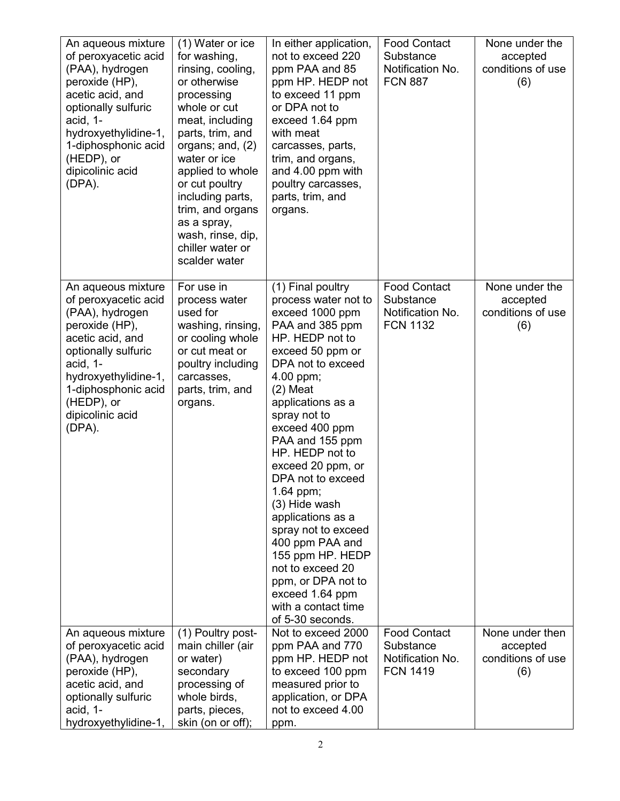| An aqueous mixture<br>of peroxyacetic acid<br>(PAA), hydrogen<br>peroxide (HP),<br>acetic acid, and<br>optionally sulfuric<br>acid, 1-<br>hydroxyethylidine-1,<br>1-diphosphonic acid<br>(HEDP), or<br>dipicolinic acid<br>$(DPA)$ . | (1) Water or ice<br>for washing,<br>rinsing, cooling,<br>or otherwise<br>processing<br>whole or cut<br>meat, including<br>parts, trim, and<br>organs; and, $(2)$<br>water or ice<br>applied to whole<br>or cut poultry<br>including parts,<br>trim, and organs<br>as a spray,<br>wash, rinse, dip,<br>chiller water or<br>scalder water | In either application,<br>not to exceed 220<br>ppm PAA and 85<br>ppm HP. HEDP not<br>to exceed 11 ppm<br>or DPA not to<br>exceed 1.64 ppm<br>with meat<br>carcasses, parts,<br>trim, and organs,<br>and 4.00 ppm with<br>poultry carcasses,<br>parts, trim, and<br>organs.                                                                                                                                                                                                                                                             | <b>Food Contact</b><br>Substance<br>Notification No.<br><b>FCN 887</b>  | None under the<br>accepted<br>conditions of use<br>(6)  |
|--------------------------------------------------------------------------------------------------------------------------------------------------------------------------------------------------------------------------------------|-----------------------------------------------------------------------------------------------------------------------------------------------------------------------------------------------------------------------------------------------------------------------------------------------------------------------------------------|----------------------------------------------------------------------------------------------------------------------------------------------------------------------------------------------------------------------------------------------------------------------------------------------------------------------------------------------------------------------------------------------------------------------------------------------------------------------------------------------------------------------------------------|-------------------------------------------------------------------------|---------------------------------------------------------|
| An aqueous mixture<br>of peroxyacetic acid<br>(PAA), hydrogen<br>peroxide (HP),<br>acetic acid, and<br>optionally sulfuric<br>acid, 1-<br>hydroxyethylidine-1,<br>1-diphosphonic acid<br>(HEDP), or<br>dipicolinic acid<br>(DPA).    | For use in<br>process water<br>used for<br>washing, rinsing,<br>or cooling whole<br>or cut meat or<br>poultry including<br>carcasses,<br>parts, trim, and<br>organs.                                                                                                                                                                    | (1) Final poultry<br>process water not to<br>exceed 1000 ppm<br>PAA and 385 ppm<br>HP. HEDP not to<br>exceed 50 ppm or<br>DPA not to exceed<br>4.00 ppm;<br>$(2)$ Meat<br>applications as a<br>spray not to<br>exceed 400 ppm<br>PAA and 155 ppm<br>HP. HEDP not to<br>exceed 20 ppm, or<br>DPA not to exceed<br>1.64 ppm;<br>(3) Hide wash<br>applications as a<br>spray not to exceed<br>400 ppm PAA and<br>155 ppm HP. HEDP<br>not to exceed 20<br>ppm, or DPA not to<br>exceed 1.64 ppm<br>with a contact time<br>of 5-30 seconds. | <b>Food Contact</b><br>Substance<br>Notification No.<br><b>FCN 1132</b> | None under the<br>accepted<br>conditions of use<br>(6)  |
| An aqueous mixture<br>of peroxyacetic acid<br>(PAA), hydrogen<br>peroxide (HP),<br>acetic acid, and<br>optionally sulfuric<br>acid, 1-<br>hydroxyethylidine-1,                                                                       | (1) Poultry post-<br>main chiller (air<br>or water)<br>secondary<br>processing of<br>whole birds,<br>parts, pieces,<br>skin (on or off);                                                                                                                                                                                                | Not to exceed 2000<br>ppm PAA and 770<br>ppm HP. HEDP not<br>to exceed 100 ppm<br>measured prior to<br>application, or DPA<br>not to exceed 4.00<br>ppm.                                                                                                                                                                                                                                                                                                                                                                               | <b>Food Contact</b><br>Substance<br>Notification No.<br><b>FCN 1419</b> | None under then<br>accepted<br>conditions of use<br>(6) |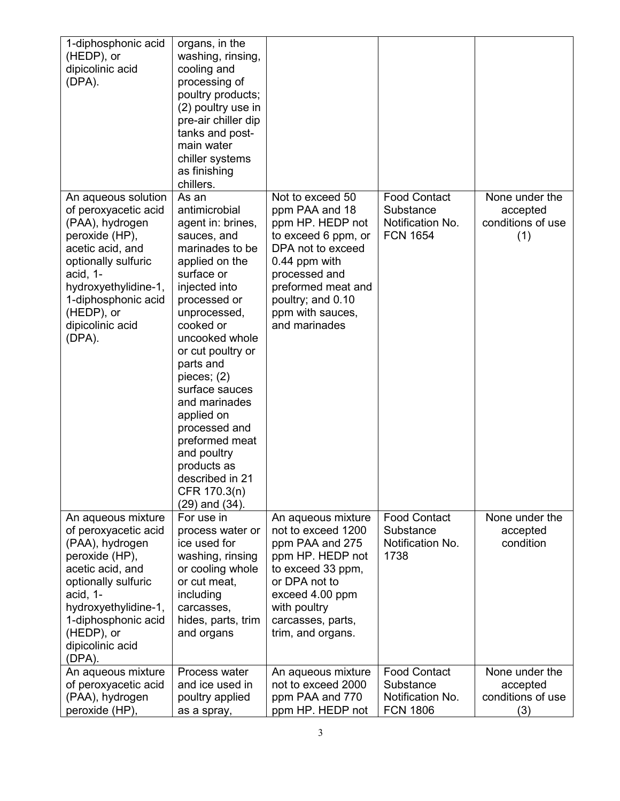| 1-diphosphonic acid<br>(HEDP), or<br>dipicolinic acid<br>(DPA).                                                                                                                                                                    | organs, in the<br>washing, rinsing,<br>cooling and<br>processing of<br>poultry products;<br>(2) poultry use in<br>pre-air chiller dip<br>tanks and post-<br>main water<br>chiller systems<br>as finishing<br>chillers.                                                                                                                                                                                                       |                                                                                                                                                                                                                      |                                                                         |                                                        |
|------------------------------------------------------------------------------------------------------------------------------------------------------------------------------------------------------------------------------------|------------------------------------------------------------------------------------------------------------------------------------------------------------------------------------------------------------------------------------------------------------------------------------------------------------------------------------------------------------------------------------------------------------------------------|----------------------------------------------------------------------------------------------------------------------------------------------------------------------------------------------------------------------|-------------------------------------------------------------------------|--------------------------------------------------------|
| An aqueous solution<br>of peroxyacetic acid<br>(PAA), hydrogen<br>peroxide (HP),<br>acetic acid, and<br>optionally sulfuric<br>acid, 1-<br>hydroxyethylidine-1,<br>1-diphosphonic acid<br>(HEDP), or<br>dipicolinic acid<br>(DPA). | As an<br>antimicrobial<br>agent in: brines,<br>sauces, and<br>marinades to be<br>applied on the<br>surface or<br>injected into<br>processed or<br>unprocessed,<br>cooked or<br>uncooked whole<br>or cut poultry or<br>parts and<br>pieces; $(2)$<br>surface sauces<br>and marinades<br>applied on<br>processed and<br>preformed meat<br>and poultry<br>products as<br>described in 21<br>CFR 170.3(n)<br>$(29)$ and $(34)$ . | Not to exceed 50<br>ppm PAA and 18<br>ppm HP. HEDP not<br>to exceed 6 ppm, or<br>DPA not to exceed<br>0.44 ppm with<br>processed and<br>preformed meat and<br>poultry; and 0.10<br>ppm with sauces,<br>and marinades | <b>Food Contact</b><br>Substance<br>Notification No.<br><b>FCN 1654</b> | None under the<br>accepted<br>conditions of use<br>(1) |
| An aqueous mixture<br>of peroxyacetic acid<br>(PAA), hydrogen<br>peroxide (HP),<br>acetic acid, and<br>optionally sulfuric<br>acid, 1-<br>hydroxyethylidine-1,<br>1-diphosphonic acid<br>(HEDP), or<br>dipicolinic acid<br>(DPA).  | For use in<br>process water or<br>ice used for<br>washing, rinsing<br>or cooling whole<br>or cut meat,<br>including<br>carcasses,<br>hides, parts, trim<br>and organs                                                                                                                                                                                                                                                        | An aqueous mixture<br>not to exceed 1200<br>ppm PAA and 275<br>ppm HP. HEDP not<br>to exceed 33 ppm,<br>or DPA not to<br>exceed 4.00 ppm<br>with poultry<br>carcasses, parts,<br>trim, and organs.                   | <b>Food Contact</b><br>Substance<br>Notification No.<br>1738            | None under the<br>accepted<br>condition                |
| An aqueous mixture<br>of peroxyacetic acid<br>(PAA), hydrogen<br>peroxide (HP),                                                                                                                                                    | Process water<br>and ice used in<br>poultry applied<br>as a spray,                                                                                                                                                                                                                                                                                                                                                           | An aqueous mixture<br>not to exceed 2000<br>ppm PAA and 770<br>ppm HP. HEDP not                                                                                                                                      | <b>Food Contact</b><br>Substance<br>Notification No.<br><b>FCN 1806</b> | None under the<br>accepted<br>conditions of use<br>(3) |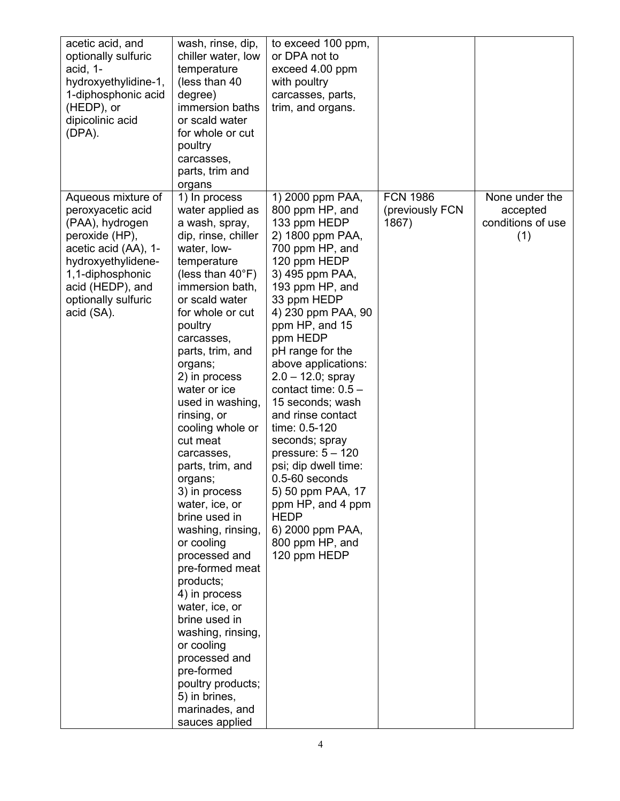| acetic acid, and<br>optionally sulfuric<br>acid, 1-<br>hydroxyethylidine-1,<br>1-diphosphonic acid<br>(HEDP), or<br>dipicolinic acid<br>(DPA).                                                          | wash, rinse, dip,<br>chiller water, low<br>temperature<br>(less than 40)<br>degree)<br>immersion baths<br>or scald water<br>for whole or cut<br>poultry<br>carcasses,<br>parts, trim and<br>organs                                                                                                                                                                                                                                                                                                                                                                                                                                                                                                                                               | to exceed 100 ppm,<br>or DPA not to<br>exceed 4.00 ppm<br>with poultry<br>carcasses, parts,<br>trim, and organs.                                                                                                                                                                                                                                                                                                                                                                                                                                                                 |                                             |                                                        |
|---------------------------------------------------------------------------------------------------------------------------------------------------------------------------------------------------------|--------------------------------------------------------------------------------------------------------------------------------------------------------------------------------------------------------------------------------------------------------------------------------------------------------------------------------------------------------------------------------------------------------------------------------------------------------------------------------------------------------------------------------------------------------------------------------------------------------------------------------------------------------------------------------------------------------------------------------------------------|----------------------------------------------------------------------------------------------------------------------------------------------------------------------------------------------------------------------------------------------------------------------------------------------------------------------------------------------------------------------------------------------------------------------------------------------------------------------------------------------------------------------------------------------------------------------------------|---------------------------------------------|--------------------------------------------------------|
| Aqueous mixture of<br>peroxyacetic acid<br>(PAA), hydrogen<br>peroxide (HP),<br>acetic acid (AA), 1-<br>hydroxyethylidene-<br>1,1-diphosphonic<br>acid (HEDP), and<br>optionally sulfuric<br>acid (SA). | 1) In process<br>water applied as<br>a wash, spray,<br>dip, rinse, chiller<br>water, low-<br>temperature<br>(less than $40^{\circ}$ F)<br>immersion bath,<br>or scald water<br>for whole or cut<br>poultry<br>carcasses,<br>parts, trim, and<br>organs;<br>2) in process<br>water or ice<br>used in washing,<br>rinsing, or<br>cooling whole or<br>cut meat<br>carcasses,<br>parts, trim, and<br>organs;<br>3) in process<br>water, ice, or<br>brine used in<br>washing, rinsing,<br>or cooling<br>processed and<br>pre-formed meat<br>products;<br>4) in process<br>water, ice, or<br>brine used in<br>washing, rinsing,<br>or cooling<br>processed and<br>pre-formed<br>poultry products;<br>5) in brines,<br>marinades, and<br>sauces applied | 1) 2000 ppm PAA,<br>800 ppm HP, and<br>133 ppm HEDP<br>2) 1800 ppm PAA,<br>700 ppm HP, and<br>120 ppm HEDP<br>3) 495 ppm PAA,<br>193 ppm HP, and<br>33 ppm HEDP<br>4) 230 ppm PAA, 90<br>ppm HP, and 15<br>ppm HEDP<br>pH range for the<br>above applications:<br>$2.0 - 12.0$ ; spray<br>contact time: $0.5 -$<br>15 seconds; wash<br>and rinse contact<br>time: 0.5-120<br>seconds; spray<br>pressure: $5 - 120$<br>psi; dip dwell time:<br>$0.5 - 60$ seconds<br>5) 50 ppm PAA, 17<br>ppm HP, and 4 ppm<br><b>HEDP</b><br>6) 2000 ppm PAA,<br>800 ppm HP, and<br>120 ppm HEDP | <b>FCN 1986</b><br>(previously FCN<br>1867) | None under the<br>accepted<br>conditions of use<br>(1) |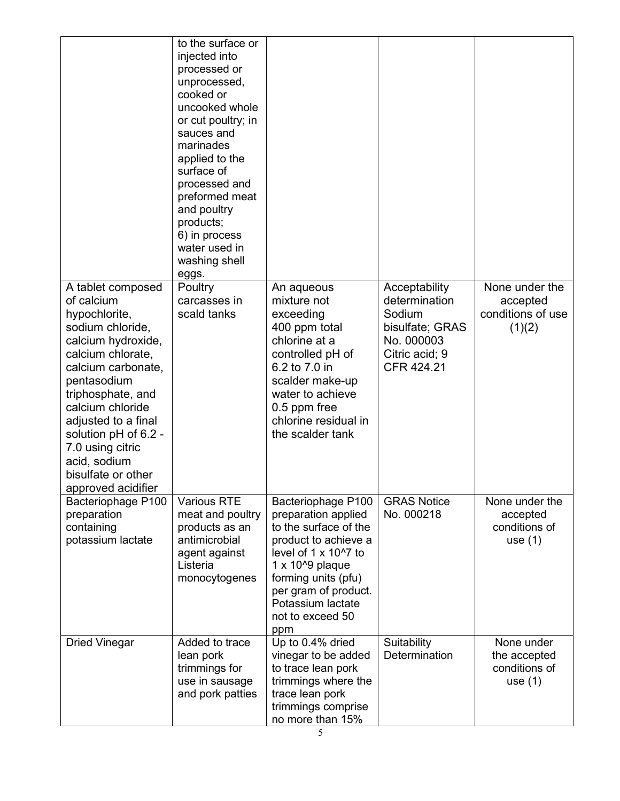|                                                                                                                                                                                                                                                                                                                              | to the surface or<br>injected into<br>processed or<br>unprocessed,<br>cooked or<br>uncooked whole<br>or cut poultry; in<br>sauces and<br>marinades<br>applied to the<br>surface of<br>processed and<br>preformed meat<br>and poultry<br>products;<br>6) in process<br>water used in<br>washing shell<br>eggs. |                                                                                                                                                                                                                                                         |                                                                                                           |                                                           |
|------------------------------------------------------------------------------------------------------------------------------------------------------------------------------------------------------------------------------------------------------------------------------------------------------------------------------|---------------------------------------------------------------------------------------------------------------------------------------------------------------------------------------------------------------------------------------------------------------------------------------------------------------|---------------------------------------------------------------------------------------------------------------------------------------------------------------------------------------------------------------------------------------------------------|-----------------------------------------------------------------------------------------------------------|-----------------------------------------------------------|
| A tablet composed<br>of calcium<br>hypochlorite,<br>sodium chloride,<br>calcium hydroxide,<br>calcium chlorate,<br>calcium carbonate,<br>pentasodium<br>triphosphate, and<br>calcium chloride<br>adjusted to a final<br>solution pH of 6.2 -<br>7.0 using citric<br>acid, sodium<br>bisulfate or other<br>approved acidifier | Poultry<br>carcasses in<br>scald tanks                                                                                                                                                                                                                                                                        | An aqueous<br>mixture not<br>exceeding<br>400 ppm total<br>chlorine at a<br>controlled pH of<br>6.2 to 7.0 in<br>scalder make-up<br>water to achieve<br>0.5 ppm free<br>chlorine residual in<br>the scalder tank                                        | Acceptability<br>determination<br>Sodium<br>bisulfate; GRAS<br>No. 000003<br>Citric acid; 9<br>CFR 424.21 | None under the<br>accepted<br>conditions of use<br>(1)(2) |
| Bacteriophage P100<br>preparation<br>containing<br>potassium lactate                                                                                                                                                                                                                                                         | <b>Various RTE</b><br>meat and poultry<br>products as an<br>antimicrobial<br>agent against<br>Listeria<br>monocytogenes                                                                                                                                                                                       | Bacteriophage P100<br>preparation applied<br>to the surface of the<br>product to achieve a<br>level of $1 \times 10^{17}$ to<br>$1 \times 10^{6}$ plaque<br>forming units (pfu)<br>per gram of product.<br>Potassium lactate<br>not to exceed 50<br>ppm | <b>GRAS Notice</b><br>No. 000218                                                                          | None under the<br>accepted<br>conditions of<br>use $(1)$  |
| <b>Dried Vinegar</b>                                                                                                                                                                                                                                                                                                         | Added to trace<br>lean pork<br>trimmings for<br>use in sausage<br>and pork patties                                                                                                                                                                                                                            | Up to 0.4% dried<br>vinegar to be added<br>to trace lean pork<br>trimmings where the<br>trace lean pork<br>trimmings comprise<br>no more than 15%                                                                                                       | Suitability<br>Determination                                                                              | None under<br>the accepted<br>conditions of<br>use $(1)$  |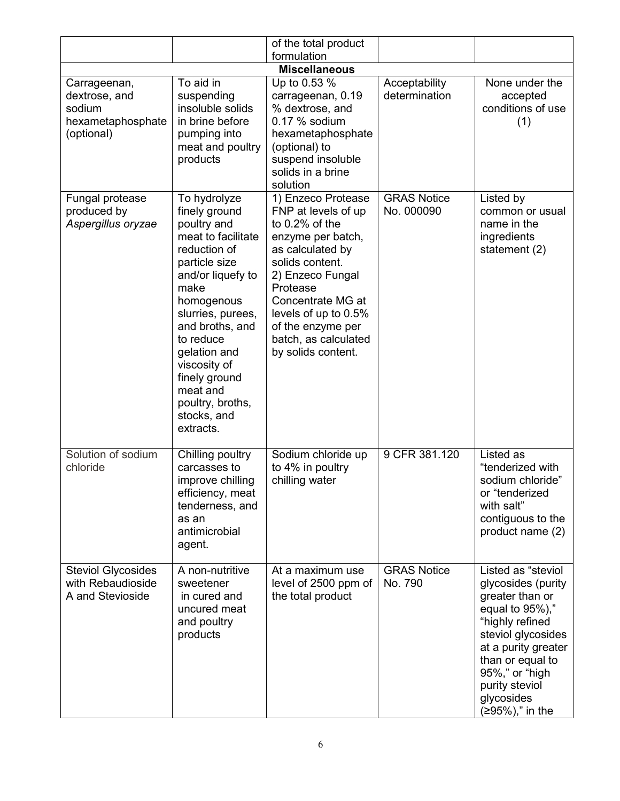|                                                                            |                                                                                                                                                                                                                                                                                                                  | of the total product                                                                                                                                                                                                                                                       |                                  |                                                                                                                                                                                                                                            |
|----------------------------------------------------------------------------|------------------------------------------------------------------------------------------------------------------------------------------------------------------------------------------------------------------------------------------------------------------------------------------------------------------|----------------------------------------------------------------------------------------------------------------------------------------------------------------------------------------------------------------------------------------------------------------------------|----------------------------------|--------------------------------------------------------------------------------------------------------------------------------------------------------------------------------------------------------------------------------------------|
|                                                                            |                                                                                                                                                                                                                                                                                                                  | formulation                                                                                                                                                                                                                                                                |                                  |                                                                                                                                                                                                                                            |
|                                                                            |                                                                                                                                                                                                                                                                                                                  | <b>Miscellaneous</b>                                                                                                                                                                                                                                                       |                                  |                                                                                                                                                                                                                                            |
| Carrageenan,<br>dextrose, and<br>sodium<br>hexametaphosphate<br>(optional) | To aid in<br>suspending<br>insoluble solids<br>in brine before<br>pumping into<br>meat and poultry<br>products                                                                                                                                                                                                   | Up to 0.53 %<br>carrageenan, 0.19<br>% dextrose, and<br>$0.17$ % sodium<br>hexametaphosphate<br>(optional) to<br>suspend insoluble<br>solids in a brine<br>solution                                                                                                        | Acceptability<br>determination   | None under the<br>accepted<br>conditions of use<br>(1)                                                                                                                                                                                     |
| Fungal protease<br>produced by<br>Aspergillus oryzae                       | To hydrolyze<br>finely ground<br>poultry and<br>meat to facilitate<br>reduction of<br>particle size<br>and/or liquefy to<br>make<br>homogenous<br>slurries, purees,<br>and broths, and<br>to reduce<br>gelation and<br>viscosity of<br>finely ground<br>meat and<br>poultry, broths,<br>stocks, and<br>extracts. | 1) Enzeco Protease<br>FNP at levels of up<br>to $0.2\%$ of the<br>enzyme per batch,<br>as calculated by<br>solids content.<br>2) Enzeco Fungal<br>Protease<br>Concentrate MG at<br>levels of up to 0.5%<br>of the enzyme per<br>batch, as calculated<br>by solids content. | <b>GRAS Notice</b><br>No. 000090 | Listed by<br>common or usual<br>name in the<br>ingredients<br>statement (2)                                                                                                                                                                |
| Solution of sodium<br>chloride                                             | Chilling poultry<br>carcasses to<br>improve chilling<br>efficiency, meat<br>tenderness, and<br>as an<br>antimicrobial<br>agent.                                                                                                                                                                                  | Sodium chloride up<br>to 4% in poultry<br>chilling water                                                                                                                                                                                                                   | 9 CFR 381.120                    | Listed as<br>"tenderized with<br>sodium chloride"<br>or "tenderized<br>with salt"<br>contiguous to the<br>product name (2)                                                                                                                 |
| <b>Steviol Glycosides</b><br>with Rebaudioside<br>A and Stevioside         | A non-nutritive<br>sweetener<br>in cured and<br>uncured meat<br>and poultry<br>products                                                                                                                                                                                                                          | At a maximum use<br>level of 2500 ppm of<br>the total product                                                                                                                                                                                                              | <b>GRAS Notice</b><br>No. 790    | Listed as "steviol<br>glycosides (purity<br>greater than or<br>equal to 95%),"<br>"highly refined<br>steviol glycosides<br>at a purity greater<br>than or equal to<br>95%," or "high<br>purity steviol<br>glycosides<br>$(≥95%),$ " in the |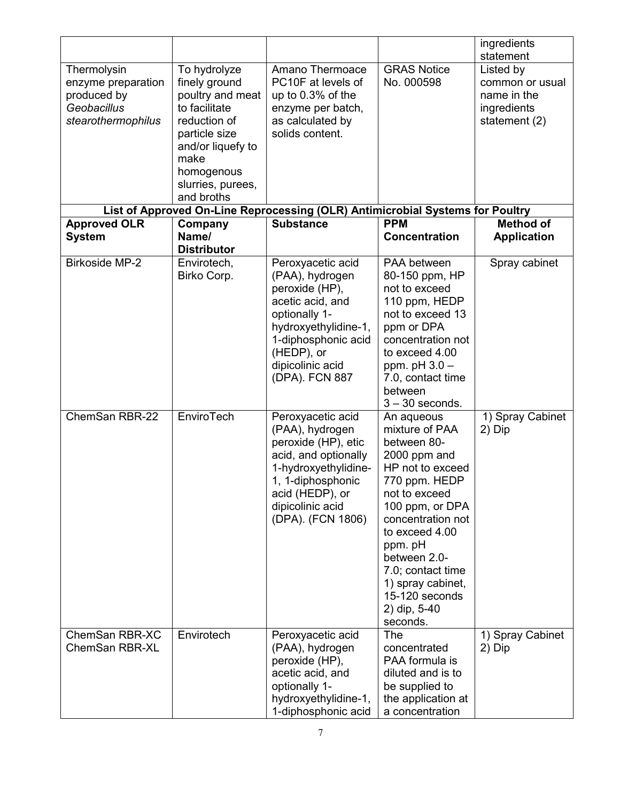|                                                                                       |                                                                                                                                                                                   |                                                                                                                                                                                                |                                                                                                                                                                                                                                                                                                | ingredients<br>statement                                                    |
|---------------------------------------------------------------------------------------|-----------------------------------------------------------------------------------------------------------------------------------------------------------------------------------|------------------------------------------------------------------------------------------------------------------------------------------------------------------------------------------------|------------------------------------------------------------------------------------------------------------------------------------------------------------------------------------------------------------------------------------------------------------------------------------------------|-----------------------------------------------------------------------------|
| Thermolysin<br>enzyme preparation<br>produced by<br>Geobacillus<br>stearothermophilus | To hydrolyze<br>finely ground<br>poultry and meat<br>to facilitate<br>reduction of<br>particle size<br>and/or liquefy to<br>make<br>homogenous<br>slurries, purees,<br>and broths | Amano Thermoace<br>PC10F at levels of<br>up to 0.3% of the<br>enzyme per batch,<br>as calculated by<br>solids content.                                                                         | <b>GRAS Notice</b><br>No. 000598                                                                                                                                                                                                                                                               | Listed by<br>common or usual<br>name in the<br>ingredients<br>statement (2) |
|                                                                                       |                                                                                                                                                                                   | List of Approved On-Line Reprocessing (OLR) Antimicrobial Systems for Poultry                                                                                                                  |                                                                                                                                                                                                                                                                                                |                                                                             |
| <b>Approved OLR</b><br><b>System</b>                                                  | Company<br>Name/<br><b>Distributor</b>                                                                                                                                            | <b>Substance</b>                                                                                                                                                                               | <b>PPM</b><br><b>Concentration</b>                                                                                                                                                                                                                                                             | <b>Method of</b><br><b>Application</b>                                      |
| <b>Birkoside MP-2</b>                                                                 | Envirotech,<br>Birko Corp.                                                                                                                                                        | Peroxyacetic acid<br>(PAA), hydrogen<br>peroxide (HP),<br>acetic acid, and<br>optionally 1-<br>hydroxyethylidine-1,<br>1-diphosphonic acid<br>(HEDP), or<br>dipicolinic acid<br>(DPA). FCN 887 | PAA between<br>80-150 ppm, HP<br>not to exceed<br>110 ppm, HEDP<br>not to exceed 13<br>ppm or DPA<br>concentration not<br>to exceed 4.00<br>ppm. $pH$ 3.0 $-$<br>7.0, contact time<br>between<br>$3 - 30$ seconds.                                                                             | Spray cabinet                                                               |
| ChemSan RBR-22                                                                        | <b>EnviroTech</b>                                                                                                                                                                 | Peroxyacetic acid<br>(PAA), hydrogen<br>peroxide (HP), etic<br>acid, and optionally<br>1-hydroxyethylidine-<br>1, 1-diphosphonic<br>acid (HEDP), or<br>dipicolinic acid<br>(DPA). (FCN 1806)   | An aqueous<br>mixture of PAA<br>between 80-<br>2000 ppm and<br>HP not to exceed<br>770 ppm. HEDP<br>not to exceed<br>100 ppm, or DPA<br>concentration not<br>to exceed 4.00<br>ppm. pH<br>between 2.0-<br>7.0; contact time<br>1) spray cabinet,<br>15-120 seconds<br>2) dip, 5-40<br>seconds. | 1) Spray Cabinet<br>2) Dip                                                  |
| ChemSan RBR-XC<br><b>ChemSan RBR-XL</b>                                               | Envirotech                                                                                                                                                                        | Peroxyacetic acid<br>(PAA), hydrogen<br>peroxide (HP),<br>acetic acid, and<br>optionally 1-<br>hydroxyethylidine-1,<br>1-diphosphonic acid                                                     | The<br>concentrated<br>PAA formula is<br>diluted and is to<br>be supplied to<br>the application at<br>a concentration                                                                                                                                                                          | 1) Spray Cabinet<br>2) Dip                                                  |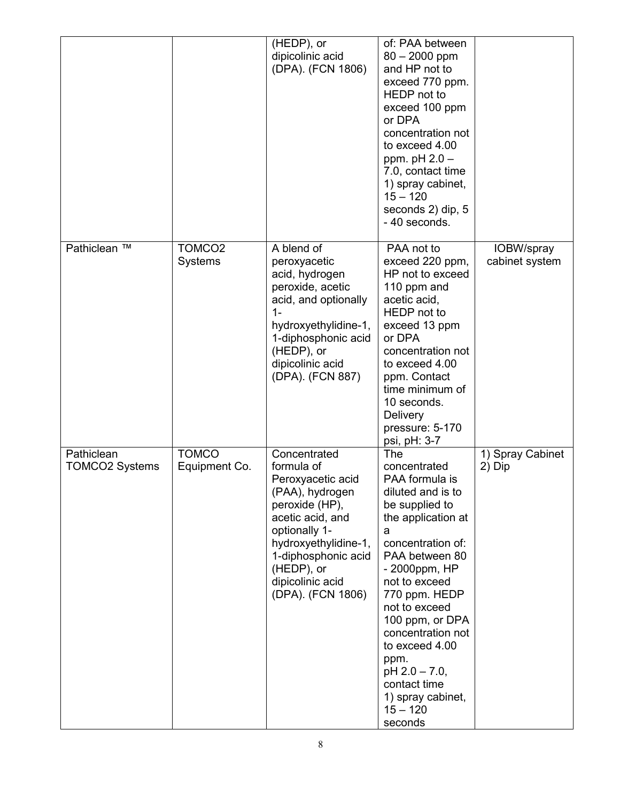|                                     |                                      | (HEDP), or<br>dipicolinic acid<br>(DPA). (FCN 1806)                                                                                                                                                                             | of: PAA between<br>$80 - 2000$ ppm<br>and HP not to<br>exceed 770 ppm.<br>HEDP not to<br>exceed 100 ppm<br>or DPA<br>concentration not<br>to exceed 4.00<br>ppm. $pH 2.0 -$<br>7.0, contact time<br>1) spray cabinet,<br>$15 - 120$<br>seconds 2) dip, 5<br>- 40 seconds.                                                                                           |                              |
|-------------------------------------|--------------------------------------|---------------------------------------------------------------------------------------------------------------------------------------------------------------------------------------------------------------------------------|---------------------------------------------------------------------------------------------------------------------------------------------------------------------------------------------------------------------------------------------------------------------------------------------------------------------------------------------------------------------|------------------------------|
| Pathiclean ™                        | TOMCO <sub>2</sub><br><b>Systems</b> | A blend of<br>peroxyacetic<br>acid, hydrogen<br>peroxide, acetic<br>acid, and optionally<br>$1-$<br>hydroxyethylidine-1,<br>1-diphosphonic acid<br>(HEDP), or<br>dipicolinic acid<br>(DPA). (FCN 887)                           | PAA not to<br>exceed 220 ppm,<br>HP not to exceed<br>110 ppm and<br>acetic acid,<br>HEDP not to<br>exceed 13 ppm<br>or DPA<br>concentration not<br>to exceed 4.00<br>ppm. Contact<br>time minimum of<br>10 seconds.<br>Delivery<br>pressure: 5-170<br>psi, pH: 3-7                                                                                                  | IOBW/spray<br>cabinet system |
| Pathiclean<br><b>TOMCO2 Systems</b> | <b>TOMCO</b><br>Equipment Co.        | Concentrated<br>formula of<br>Peroxyacetic acid<br>(PAA), hydrogen<br>peroxide (HP),<br>acetic acid, and<br>optionally 1-<br>hydroxyethylidine-1,<br>1-diphosphonic acid<br>(HEDP), or<br>dipicolinic acid<br>(DPA). (FCN 1806) | The<br>concentrated<br>PAA formula is<br>diluted and is to<br>be supplied to<br>the application at<br>a<br>concentration of:<br>PAA between 80<br>- 2000ppm, HP<br>not to exceed<br>770 ppm. HEDP<br>not to exceed<br>100 ppm, or DPA<br>concentration not<br>to exceed 4.00<br>ppm.<br>pH 2.0 - 7.0,<br>contact time<br>1) spray cabinet,<br>$15 - 120$<br>seconds | 1) Spray Cabinet<br>2) Dip   |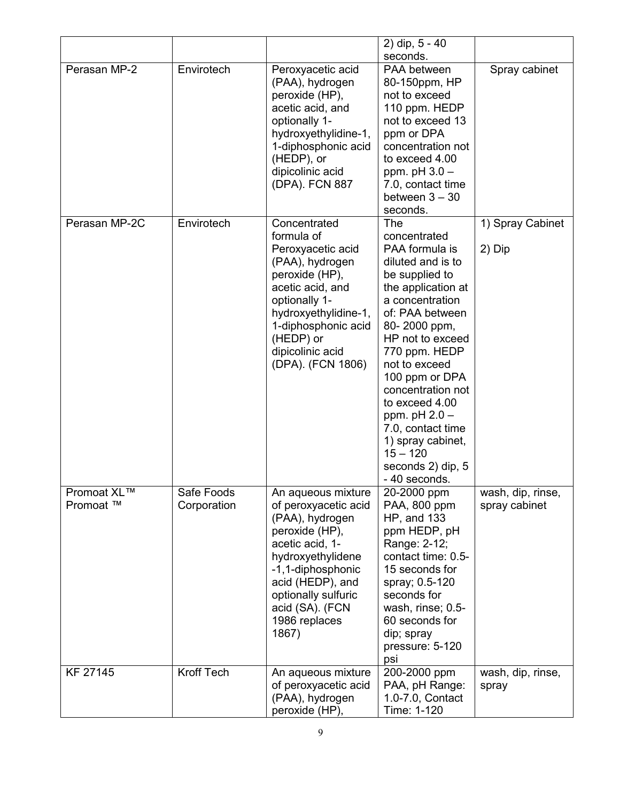|                          |                           |                                                                                                                                                                                                                                      | 2) dip, $5 - 40$                                                                                                                                                                                                                                                                                                                                                                         |                                    |
|--------------------------|---------------------------|--------------------------------------------------------------------------------------------------------------------------------------------------------------------------------------------------------------------------------------|------------------------------------------------------------------------------------------------------------------------------------------------------------------------------------------------------------------------------------------------------------------------------------------------------------------------------------------------------------------------------------------|------------------------------------|
|                          |                           |                                                                                                                                                                                                                                      | seconds.                                                                                                                                                                                                                                                                                                                                                                                 |                                    |
| Perasan MP-2             | Envirotech                | Peroxyacetic acid<br>(PAA), hydrogen<br>peroxide (HP),<br>acetic acid, and<br>optionally 1-<br>hydroxyethylidine-1,<br>1-diphosphonic acid<br>(HEDP), or<br>dipicolinic acid<br>(DPA). FCN 887                                       | PAA between<br>80-150ppm, HP<br>not to exceed<br>110 ppm. HEDP<br>not to exceed 13<br>ppm or DPA<br>concentration not<br>to exceed 4.00<br>ppm. $pH$ 3.0 $-$<br>7.0, contact time<br>between $3 - 30$<br>seconds.                                                                                                                                                                        | Spray cabinet                      |
| Perasan MP-2C            | Envirotech                | Concentrated<br>formula of<br>Peroxyacetic acid<br>(PAA), hydrogen<br>peroxide (HP),<br>acetic acid, and<br>optionally 1-<br>hydroxyethylidine-1,<br>1-diphosphonic acid<br>(HEDP) or<br>dipicolinic acid<br>(DPA). (FCN 1806)       | The<br>concentrated<br>PAA formula is<br>diluted and is to<br>be supplied to<br>the application at<br>a concentration<br>of: PAA between<br>80-2000 ppm,<br>HP not to exceed<br>770 ppm. HEDP<br>not to exceed<br>100 ppm or DPA<br>concentration not<br>to exceed 4.00<br>ppm. $pH 2.0 -$<br>7.0, contact time<br>1) spray cabinet,<br>$15 - 120$<br>seconds 2) dip, 5<br>- 40 seconds. | 1) Spray Cabinet<br>2) Dip         |
| Promoat XL™<br>Promoat ™ | Safe Foods<br>Corporation | An aqueous mixture<br>of peroxyacetic acid<br>(PAA), hydrogen<br>peroxide (HP),<br>acetic acid, 1-<br>hydroxyethylidene<br>-1,1-diphosphonic<br>acid (HEDP), and<br>optionally sulfuric<br>acid (SA). (FCN<br>1986 replaces<br>1867) | 20-2000 ppm<br>PAA, 800 ppm<br>HP, and 133<br>ppm HEDP, pH<br>Range: 2-12;<br>contact time: 0.5-<br>15 seconds for<br>spray; 0.5-120<br>seconds for<br>wash, rinse; 0.5-<br>60 seconds for<br>dip; spray<br>pressure: 5-120<br>psi                                                                                                                                                       | wash, dip, rinse,<br>spray cabinet |
| KF 27145                 | Kroff Tech                | An aqueous mixture<br>of peroxyacetic acid<br>(PAA), hydrogen<br>peroxide (HP),                                                                                                                                                      | 200-2000 ppm<br>PAA, pH Range:<br>1.0-7.0, Contact<br>Time: 1-120                                                                                                                                                                                                                                                                                                                        | wash, dip, rinse,<br>spray         |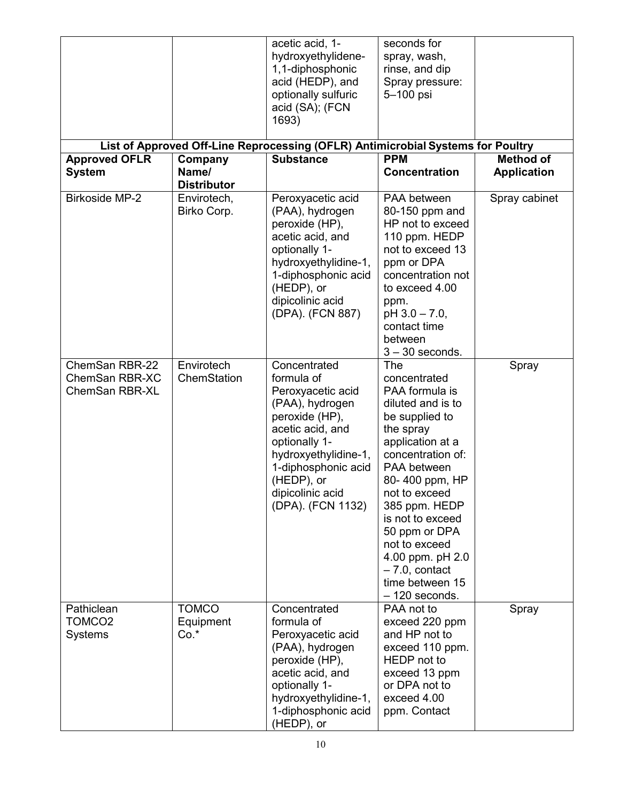| <b>Approved OFLR</b>                                      | Company                             | acetic acid, 1-<br>hydroxyethylidene-<br>1,1-diphosphonic<br>acid (HEDP), and<br>optionally sulfuric<br>acid (SA); (FCN<br>1693)<br>List of Approved Off-Line Reprocessing (OFLR) Antimicrobial Systems for Poultry<br><b>Substance</b> | seconds for<br>spray, wash,<br>rinse, and dip<br>Spray pressure:<br>5-100 psi<br><b>PPM</b>                                                                                                                                                                                                                                               | <b>Method of</b>   |
|-----------------------------------------------------------|-------------------------------------|-----------------------------------------------------------------------------------------------------------------------------------------------------------------------------------------------------------------------------------------|-------------------------------------------------------------------------------------------------------------------------------------------------------------------------------------------------------------------------------------------------------------------------------------------------------------------------------------------|--------------------|
| <b>System</b>                                             | Name/<br><b>Distributor</b>         |                                                                                                                                                                                                                                         | <b>Concentration</b>                                                                                                                                                                                                                                                                                                                      | <b>Application</b> |
| <b>Birkoside MP-2</b>                                     | Envirotech,<br>Birko Corp.          | Peroxyacetic acid<br>(PAA), hydrogen<br>peroxide (HP),<br>acetic acid, and<br>optionally 1-<br>hydroxyethylidine-1,<br>1-diphosphonic acid<br>(HEDP), or<br>dipicolinic acid<br>(DPA). (FCN 887)                                        | PAA between<br>80-150 ppm and<br>HP not to exceed<br>110 ppm. HEDP<br>not to exceed 13<br>ppm or DPA<br>concentration not<br>to exceed 4.00<br>ppm.<br>$pH$ 3.0 - 7.0,<br>contact time<br>between<br>$3 - 30$ seconds.                                                                                                                    | Spray cabinet      |
| ChemSan RBR-22<br>ChemSan RBR-XC<br><b>ChemSan RBR-XL</b> | Envirotech<br>ChemStation           | Concentrated<br>formula of<br>Peroxyacetic acid<br>(PAA), hydrogen<br>peroxide (HP),<br>acetic acid, and<br>optionally 1-<br>hydroxyethylidine-1,<br>1-diphosphonic acid<br>(HEDP), or<br>dipicolinic acid<br>(DPA). (FCN 1132)         | The<br>concentrated<br>PAA formula is<br>diluted and is to<br>be supplied to<br>the spray<br>application at a<br>concentration of:<br>PAA between<br>80-400 ppm, HP<br>not to exceed<br>385 ppm. HEDP<br>is not to exceed<br>50 ppm or DPA<br>not to exceed<br>4.00 ppm. pH 2.0<br>$-7.0$ , contact<br>time between 15<br>$-120$ seconds. | Spray              |
| Pathiclean<br>TOMCO <sub>2</sub><br><b>Systems</b>        | <b>TOMCO</b><br>Equipment<br>$Co.*$ | Concentrated<br>formula of<br>Peroxyacetic acid<br>(PAA), hydrogen<br>peroxide (HP),<br>acetic acid, and<br>optionally 1-<br>hydroxyethylidine-1,<br>1-diphosphonic acid<br>(HEDP), or                                                  | PAA not to<br>exceed 220 ppm<br>and HP not to<br>exceed 110 ppm.<br>HEDP not to<br>exceed 13 ppm<br>or DPA not to<br>exceed 4.00<br>ppm. Contact                                                                                                                                                                                          | Spray              |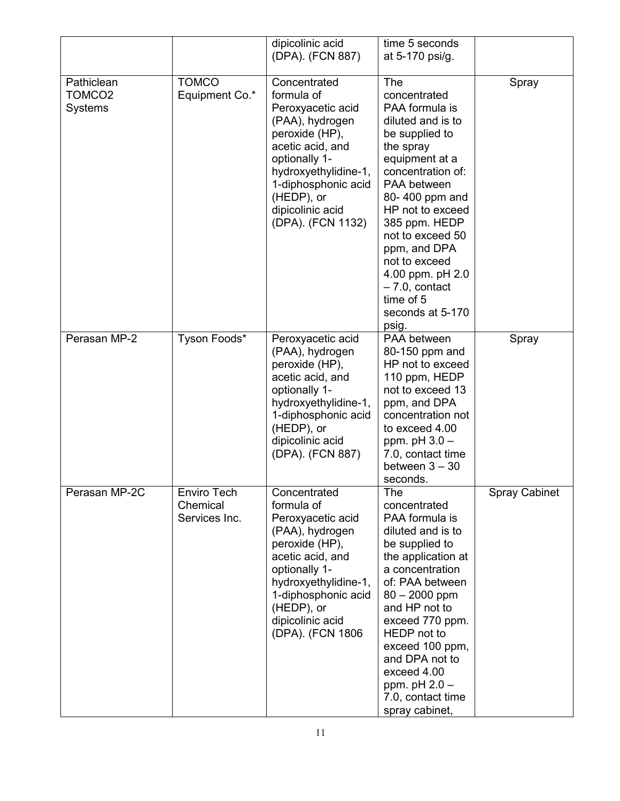|                                                    |                                                 | dipicolinic acid<br>(DPA). (FCN 887)                                                                                                                                                                                            | time 5 seconds<br>at 5-170 psi/g.                                                                                                                                                                                                                                                                                                             |                      |
|----------------------------------------------------|-------------------------------------------------|---------------------------------------------------------------------------------------------------------------------------------------------------------------------------------------------------------------------------------|-----------------------------------------------------------------------------------------------------------------------------------------------------------------------------------------------------------------------------------------------------------------------------------------------------------------------------------------------|----------------------|
| Pathiclean<br>TOMCO <sub>2</sub><br><b>Systems</b> | <b>TOMCO</b><br>Equipment Co.*                  | Concentrated<br>formula of<br>Peroxyacetic acid<br>(PAA), hydrogen<br>peroxide (HP),<br>acetic acid, and<br>optionally 1-<br>hydroxyethylidine-1,<br>1-diphosphonic acid<br>(HEDP), or<br>dipicolinic acid<br>(DPA). (FCN 1132) | The<br>concentrated<br>PAA formula is<br>diluted and is to<br>be supplied to<br>the spray<br>equipment at a<br>concentration of:<br>PAA between<br>80-400 ppm and<br>HP not to exceed<br>385 ppm. HEDP<br>not to exceed 50<br>ppm, and DPA<br>not to exceed<br>4.00 ppm. pH 2.0<br>$-7.0$ , contact<br>time of 5<br>seconds at 5-170<br>psig. | Spray                |
| Perasan MP-2                                       | Tyson Foods*                                    | Peroxyacetic acid<br>(PAA), hydrogen<br>peroxide (HP),<br>acetic acid, and<br>optionally 1-<br>hydroxyethylidine-1,<br>1-diphosphonic acid<br>(HEDP), or<br>dipicolinic acid<br>(DPA). (FCN 887)                                | PAA between<br>80-150 ppm and<br>HP not to exceed<br>110 ppm, HEDP<br>not to exceed 13<br>ppm, and DPA<br>concentration not<br>to exceed 4.00<br>ppm. $pH$ 3.0 $-$<br>7.0, contact time<br>between $3 - 30$<br>seconds.                                                                                                                       | Spray                |
| Perasan MP-2C                                      | <b>Enviro Tech</b><br>Chemical<br>Services Inc. | Concentrated<br>formula of<br>Peroxyacetic acid<br>(PAA), hydrogen<br>peroxide (HP),<br>acetic acid, and<br>optionally 1-<br>hydroxyethylidine-1,<br>1-diphosphonic acid<br>(HEDP), or<br>dipicolinic acid<br>(DPA). (FCN 1806  | The<br>concentrated<br>PAA formula is<br>diluted and is to<br>be supplied to<br>the application at<br>a concentration<br>of: PAA between<br>$80 - 2000$ ppm<br>and HP not to<br>exceed 770 ppm.<br>HEDP not to<br>exceed 100 ppm,<br>and DPA not to<br>exceed 4.00<br>ppm. $pH 2.0 -$<br>7.0, contact time<br>spray cabinet,                  | <b>Spray Cabinet</b> |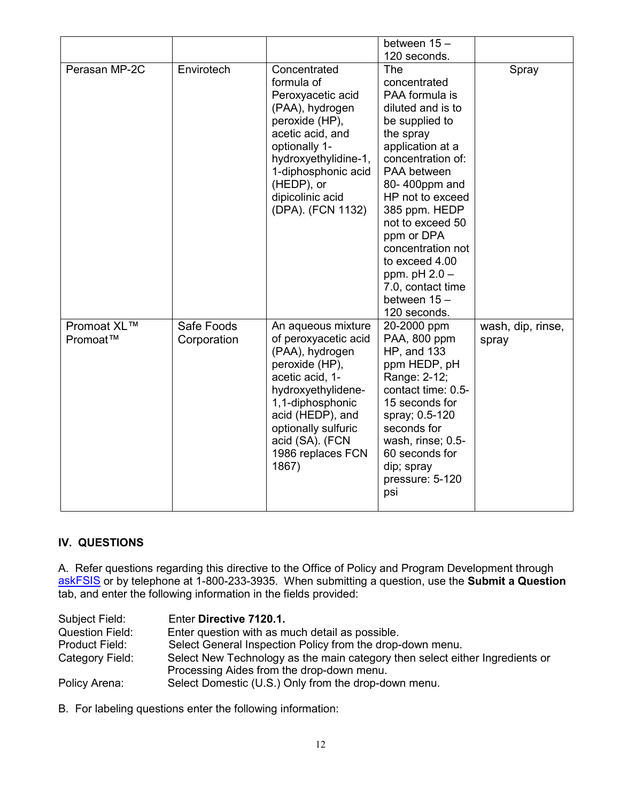|               |             |                      | between 15 -       |                   |
|---------------|-------------|----------------------|--------------------|-------------------|
|               |             |                      |                    |                   |
|               |             |                      | 120 seconds.       |                   |
| Perasan MP-2C | Envirotech  | Concentrated         | The                | Spray             |
|               |             | formula of           | concentrated       |                   |
|               |             | Peroxyacetic acid    | PAA formula is     |                   |
|               |             | (PAA), hydrogen      | diluted and is to  |                   |
|               |             | peroxide (HP),       | be supplied to     |                   |
|               |             | acetic acid, and     | the spray          |                   |
|               |             | optionally 1-        | application at a   |                   |
|               |             | hydroxyethylidine-1, | concentration of:  |                   |
|               |             | 1-diphosphonic acid  | PAA between        |                   |
|               |             | (HEDP), or           | 80-400ppm and      |                   |
|               |             |                      | HP not to exceed   |                   |
|               |             | dipicolinic acid     |                    |                   |
|               |             | (DPA). (FCN 1132)    | 385 ppm. HEDP      |                   |
|               |             |                      | not to exceed 50   |                   |
|               |             |                      | ppm or DPA         |                   |
|               |             |                      | concentration not  |                   |
|               |             |                      | to exceed 4.00     |                   |
|               |             |                      | ppm. $pH 2.0 -$    |                   |
|               |             |                      | 7.0, contact time  |                   |
|               |             |                      | between $15 -$     |                   |
|               |             |                      | 120 seconds.       |                   |
| Promoat XL™   | Safe Foods  | An aqueous mixture   | 20-2000 ppm        | wash, dip, rinse, |
| Promoat™      | Corporation | of peroxyacetic acid | PAA, 800 ppm       | spray             |
|               |             | (PAA), hydrogen      | <b>HP, and 133</b> |                   |
|               |             | peroxide (HP),       | ppm HEDP, pH       |                   |
|               |             | acetic acid, 1-      | Range: 2-12;       |                   |
|               |             | hydroxyethylidene-   | contact time: 0.5- |                   |
|               |             | 1,1-diphosphonic     | 15 seconds for     |                   |
|               |             |                      |                    |                   |
|               |             | acid (HEDP), and     | spray; 0.5-120     |                   |
|               |             | optionally sulfuric  | seconds for        |                   |
|               |             | acid (SA). (FCN      | wash, rinse; 0.5-  |                   |
|               |             | 1986 replaces FCN    | 60 seconds for     |                   |
|               |             | 1867)                | dip; spray         |                   |
|               |             |                      | pressure: 5-120    |                   |
|               |             |                      | psi                |                   |
|               |             |                      |                    |                   |

### **IV. QUESTIONS**

A. Refer questions regarding this directive to the Office of Policy and Program Development through [askFSIS](http://askfsis.custhelp.com/) or by telephone at 1-800-233-3935. When submitting a question, use the **Submit a Question** tab, and enter the following information in the fields provided:

| Subject Field:         | Enter Directive 7120.1.                                                      |
|------------------------|------------------------------------------------------------------------------|
| <b>Question Field:</b> | Enter question with as much detail as possible.                              |
| Product Field:         | Select General Inspection Policy from the drop-down menu.                    |
| Category Field:        | Select New Technology as the main category then select either Ingredients or |
|                        | Processing Aides from the drop-down menu.                                    |
| Policy Arena:          | Select Domestic (U.S.) Only from the drop-down menu.                         |

B. For labeling questions enter the following information: